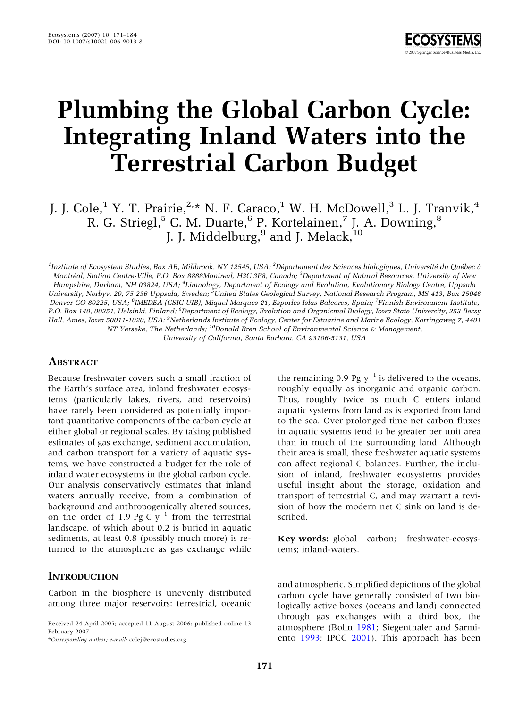# Plumbing the Global Carbon Cycle: Integrating Inland Waters into the Terrestrial Carbon Budget

J. J. Cole,<sup>1</sup> Y. T. Prairie,<sup>2,\*</sup> N. F. Caraco,<sup>1</sup> W. H. McDowell,<sup>3</sup> L. J. Tranvik,<sup>4</sup> R. G. Striegl,<sup>5</sup> C. M. Duarte,<sup>6</sup> P. Kortelainen,<sup>7</sup> J. A. Downing,<sup>8</sup> J. J. Middelburg,  $9$  and J. Melack,  $10$ 

<sup>1</sup>Institute of Ecosystem Studies, Box AB, Millbrook, NY 12545, USA; <sup>2</sup>Département des Sciences biologiques, Université du Québec à Montréal, Station Centre-Ville, P.O. Box 8888Montreal, H3C 3P8, Canada; <sup>3</sup>Department of Natural Resources, University of New Hampshire, Durham, NH 03824, USA; <sup>4</sup> Limnology, Department of Ecology and Evolution, Evolutionary Biology Centre, Uppsala University, Norbyv. 20, 75 236 Uppsala, Sweden; <sup>5</sup>United States Geological Survey, National Research Program, MS 413, Box 25046 Denver CO 80225, USA; <sup>6</sup>IMEDEA (CSIC-UIB), Miquel Marques 21, Esporles Islas Baleares, Spain; <sup>7</sup>Finnish Environment Institute, P.O. Box 140, 00251, Helsinki, Finland; <sup>8</sup>Department of Ecology, Evolution and Organismal Biology, Iowa State University, 253 Bessy Hall, Ames, Iowa 50011-1020, USA; <sup>9</sup>Netherlands Institute of Ecology, Center for Estuarine and Marine Ecology, Korringaweg 7, 4401 NT Yerseke, The Netherlands; <sup>10</sup>Donald Bren School of Environmental Science & Management, University of California, Santa Barbara, CA 93106-5131, USA

## **ABSTRACT**

Because freshwater covers such a small fraction of the Earth's surface area, inland freshwater ecosystems (particularly lakes, rivers, and reservoirs) have rarely been considered as potentially important quantitative components of the carbon cycle at either global or regional scales. By taking published estimates of gas exchange, sediment accumulation, and carbon transport for a variety of aquatic systems, we have constructed a budget for the role of inland water ecosystems in the global carbon cycle. Our analysis conservatively estimates that inland waters annually receive, from a combination of background and anthropogenically altered sources, on the order of 1.9 Pg C  $y^{-1}$  from the terrestrial landscape, of which about 0.2 is buried in aquatic sediments, at least 0.8 (possibly much more) is returned to the atmosphere as gas exchange while

the remaining 0.9 Pg  $y^{-1}$  is delivered to the oceans, roughly equally as inorganic and organic carbon. Thus, roughly twice as much C enters inland aquatic systems from land as is exported from land to the sea. Over prolonged time net carbon fluxes in aquatic systems tend to be greater per unit area than in much of the surrounding land. Although their area is small, these freshwater aquatic systems can affect regional C balances. Further, the inclusion of inland, freshwater ecosystems provides useful insight about the storage, oxidation and transport of terrestrial C, and may warrant a revision of how the modern net C sink on land is described.

Key words: global carbon; freshwater-ecosystems; inland-waters.

### **INTRODUCTION**

Carbon in the biosphere is unevenly distributed among three major reservoirs: terrestrial, oceanic and atmospheric. Simplified depictions of the global carbon cycle have generally consisted of two biologically active boxes (oceans and land) connected through gas exchanges with a third box, the atmosphere (Bolin [1981;](#page-11-0) Siegenthaler and Sarmiento [1993;](#page-13-0) IPCC [2001](#page-12-0)). This approach has been

Received 24 April 2005; accepted 11 August 2006; published online 13 February 2007.

<sup>\*</sup>Corresponding author; e-mail: colej@ecostudies.org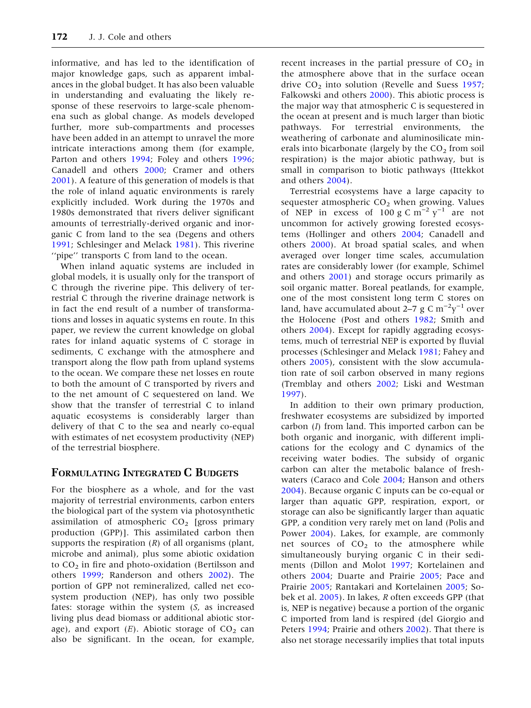informative, and has led to the identification of major knowledge gaps, such as apparent imbalances in the global budget. It has also been valuable in understanding and evaluating the likely response of these reservoirs to large-scale phenomena such as global change. As models developed further, more sub-compartments and processes have been added in an attempt to unravel the more intricate interactions among them (for example, Parton and others [1994](#page-12-0); Foley and others [1996;](#page-11-0) Canadell and others [2000;](#page-11-0) Cramer and others [2001\)](#page-11-0). A feature of this generation of models is that the role of inland aquatic environments is rarely explicitly included. Work during the 1970s and 1980s demonstrated that rivers deliver significant amounts of terrestrially-derived organic and inorganic C from land to the sea (Degens and others [1991;](#page-11-0) Schlesinger and Melack [1981\)](#page-13-0). This riverine "pipe" transports C from land to the ocean.

When inland aquatic systems are included in global models, it is usually only for the transport of C through the riverine pipe. This delivery of terrestrial C through the riverine drainage network is in fact the end result of a number of transformations and losses in aquatic systems en route. In this paper, we review the current knowledge on global rates for inland aquatic systems of C storage in sediments, C exchange with the atmosphere and transport along the flow path from upland systems to the ocean. We compare these net losses en route to both the amount of C transported by rivers and to the net amount of C sequestered on land. We show that the transfer of terrestrial C to inland aquatic ecosystems is considerably larger than delivery of that C to the sea and nearly co-equal with estimates of net ecosystem productivity (NEP) of the terrestrial biosphere.

### FORMULATING INTEGRATED C BUDGETS

For the biosphere as a whole, and for the vast majority of terrestrial environments, carbon enters the biological part of the system via photosynthetic assimilation of atmospheric  $CO<sub>2</sub>$  [gross primary production (GPP)]. This assimilated carbon then supports the respiration  $(R)$  of all organisms (plant, microbe and animal), plus some abiotic oxidation to CO<sub>2</sub> in fire and photo-oxidation (Bertilsson and others [1999](#page-11-0); Randerson and others [2002](#page-13-0)). The portion of GPP not remineralized, called net ecosystem production (NEP), has only two possible fates: storage within the system (S, as increased living plus dead biomass or additional abiotic storage), and export  $(E)$ . Abiotic storage of  $CO<sub>2</sub>$  can also be significant. In the ocean, for example, recent increases in the partial pressure of  $CO<sub>2</sub>$  in the atmosphere above that in the surface ocean drive  $CO<sub>2</sub>$  into solution (Revelle and Suess [1957;](#page-13-0) Falkowski and others [2000](#page-11-0)). This abiotic process is the major way that atmospheric C is sequestered in the ocean at present and is much larger than biotic pathways. For terrestrial environments, the weathering of carbonate and aluminosilicate minerals into bicarbonate (largely by the  $CO<sub>2</sub>$  from soil respiration) is the major abiotic pathway, but is small in comparison to biotic pathways (Ittekkot and others [2004\)](#page-12-0).

Terrestrial ecosystems have a large capacity to sequester atmospheric  $CO<sub>2</sub>$  when growing. Values of NEP in excess of 100 g C  $\text{m}^{-2}$  y<sup>-1</sup> are not uncommon for actively growing forested ecosystems (Hollinger and others [2004](#page-12-0); Canadell and others [2000\)](#page-11-0). At broad spatial scales, and when averaged over longer time scales, accumulation rates are considerably lower (for example, Schimel and others [2001\)](#page-13-0) and storage occurs primarily as soil organic matter. Boreal peatlands, for example, one of the most consistent long term C stores on land, have accumulated about 2–7  $\rm g~C~m^{-2}y^{-1}$  over the Holocene (Post and others [1982](#page-12-0); Smith and others [2004\)](#page-13-0). Except for rapidly aggrading ecosystems, much of terrestrial NEP is exported by fluvial processes (Schlesinger and Melack [1981](#page-13-0); Fahey and others [2005](#page-11-0)), consistent with the slow accumulation rate of soil carbon observed in many regions (Tremblay and others [2002](#page-13-0); Liski and Westman [1997\)](#page-12-0).

In addition to their own primary production, freshwater ecosystems are subsidized by imported carbon (I) from land. This imported carbon can be both organic and inorganic, with different implications for the ecology and C dynamics of the receiving water bodies. The subsidy of organic carbon can alter the metabolic balance of fresh-waters (Caraco and Cole [2004](#page-11-0); Hanson and others [2004\)](#page-12-0). Because organic C inputs can be co-equal or larger than aquatic GPP, respiration, export, or storage can also be significantly larger than aquatic GPP, a condition very rarely met on land (Polis and Power [2004](#page-12-0)). Lakes, for example, are commonly net sources of  $CO<sub>2</sub>$  to the atmosphere while simultaneously burying organic C in their sediments (Dillon and Molot [1997](#page-11-0); Kortelainen and others [2004;](#page-12-0) Duarte and Prairie [2005;](#page-11-0) Pace and Prairie [2005;](#page-12-0) Rantakari and Kortelainen [2005](#page-13-0); Sobek et al. [2005](#page-13-0)). In lakes, R often exceeds GPP (that is, NEP is negative) because a portion of the organic C imported from land is respired (del Giorgio and Peters [1994](#page-11-0); Prairie and others [2002](#page-12-0)). That there is also net storage necessarily implies that total inputs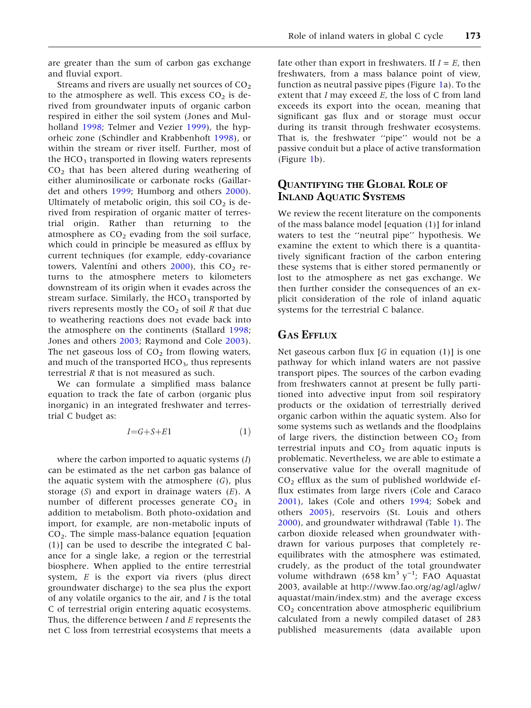are greater than the sum of carbon gas exchange and fluvial export.

Streams and rivers are usually net sources of  $CO<sub>2</sub>$ to the atmosphere as well. This excess  $CO<sub>2</sub>$  is derived from groundwater inputs of organic carbon respired in either the soil system (Jones and Mulholland [1998;](#page-12-0) Telmer and Vezier [1999\)](#page-13-0), the hyporheic zone (Schindler and Krabbenhoft [1998](#page-13-0)), or within the stream or river itself. Further, most of the  $HCO<sub>3</sub>$  transported in flowing waters represents  $CO<sub>2</sub>$  that has been altered during weathering of either aluminosilicate or carbonate rocks (Gaillardet and others [1999](#page-11-0); Humborg and others [2000](#page-12-0)). Ultimately of metabolic origin, this soil  $CO<sub>2</sub>$  is derived from respiration of organic matter of terrestrial origin. Rather than returning to the atmosphere as  $CO<sub>2</sub>$  evading from the soil surface, which could in principle be measured as efflux by current techniques (for example, eddy-covariance towers, Valentíni and others  $2000$ ), this CO<sub>2</sub> returns to the atmosphere meters to kilometers downstream of its origin when it evades across the stream surface. Similarly, the  $HCO<sub>3</sub>$  transported by rivers represents mostly the  $CO<sub>2</sub>$  of soil R that due to weathering reactions does not evade back into the atmosphere on the continents (Stallard [1998](#page-13-0); Jones and others [2003;](#page-12-0) Raymond and Cole [2003](#page-13-0)). The net gaseous loss of  $CO<sub>2</sub>$  from flowing waters, and much of the transported  $HCO<sub>3</sub>$ , thus represents terrestrial R that is not measured as such.

We can formulate a simplified mass balance equation to track the fate of carbon (organic plus inorganic) in an integrated freshwater and terrestrial C budget as:

$$
I = G + S + E1 \tag{1}
$$

where the carbon imported to aquatic systems (*I*) can be estimated as the net carbon gas balance of the aquatic system with the atmosphere  $(G)$ , plus storage  $(S)$  and export in drainage waters  $(E)$ . A number of different processes generate  $CO<sub>2</sub>$  in addition to metabolism. Both photo-oxidation and import, for example, are non-metabolic inputs of  $CO<sub>2</sub>$ . The simple mass-balance equation [equation (1)] can be used to describe the integrated C balance for a single lake, a region or the terrestrial biosphere. When applied to the entire terrestrial system, E is the export via rivers (plus direct groundwater discharge) to the sea plus the export of any volatile organics to the air, and I is the total C of terrestrial origin entering aquatic ecosystems. Thus, the difference between  $I$  and  $E$  represents the net C loss from terrestrial ecosystems that meets a

fate other than export in freshwaters. If  $I = E$ , then freshwaters, from a mass balance point of view, function as neutral passive pipes (Figure [1](#page-3-0)a). To the extent that  $I$  may exceed  $E$ , the loss of  $C$  from land exceeds its export into the ocean, meaning that significant gas flux and or storage must occur during its transit through freshwater ecosystems. That is, the freshwater ''pipe'' would not be a passive conduit but a place of active transformation (Figure [1b](#page-3-0)).

# QUANTIFYING THE GLOBAL ROLE OF INLAND AQUATIC SYSTEMS

We review the recent literature on the components of the mass balance model [equation (1)] for inland waters to test the ''neutral pipe'' hypothesis. We examine the extent to which there is a quantitatively significant fraction of the carbon entering these systems that is either stored permanently or lost to the atmosphere as net gas exchange. We then further consider the consequences of an explicit consideration of the role of inland aquatic systems for the terrestrial C balance.

## GAS EFFLUX

Net gaseous carbon flux  $[G]$  in equation  $(1)]$  is one pathway for which inland waters are not passive transport pipes. The sources of the carbon evading from freshwaters cannot at present be fully partitioned into advective input from soil respiratory products or the oxidation of terrestrially derived organic carbon within the aquatic system. Also for some systems such as wetlands and the floodplains of large rivers, the distinction between  $CO<sub>2</sub>$  from terrestrial inputs and  $CO<sub>2</sub>$  from aquatic inputs is problematic. Nevertheless, we are able to estimate a conservative value for the overall magnitude of  $CO<sub>2</sub>$  efflux as the sum of published worldwide efflux estimates from large rivers (Cole and Caraco [2001\)](#page-11-0), lakes (Cole and others [1994](#page-11-0); Sobek and others [2005\)](#page-13-0), reservoirs (St. Louis and others [2000\)](#page-13-0), and groundwater withdrawal (Table [1\)](#page-4-0). The carbon dioxide released when groundwater withdrawn for various purposes that completely reequilibrates with the atmosphere was estimated, crudely, as the product of the total groundwater volume withdrawn (658 km<sup>3</sup>  $y^{-1}$ ; FAO Aquastat 2003, available at http://www.fao.org/ag/agl/aglw/ aquastat/main/index.stm) and the average excess  $CO<sub>2</sub>$  concentration above atmospheric equilibrium calculated from a newly compiled dataset of 283 published measurements (data available upon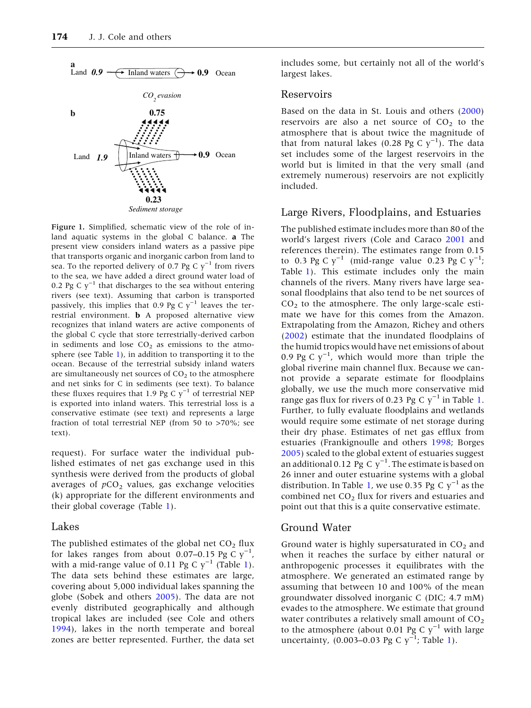<span id="page-3-0"></span>

Figure 1. Simplified, schematic view of the role of inland aquatic systems in the global C balance. a The present view considers inland waters as a passive pipe that transports organic and inorganic carbon from land to sea. To the reported delivery of 0.7 Pg C  $y^{-1}$  from rivers to the sea, we have added a direct ground water load of 0.2 Pg C  $y^{-1}$  that discharges to the sea without entering rivers (see text). Assuming that carbon is transported passively, this implies that 0.9 Pg C  $y^{-1}$  leaves the terrestrial environment. b A proposed alternative view recognizes that inland waters are active components of the global C cycle that store terrestrially-derived carbon in sediments and lose  $CO<sub>2</sub>$  as emissions to the atmosphere (see Table [1\)](#page-4-0), in addition to transporting it to the ocean. Because of the terrestrial subsidy inland waters are simultaneously net sources of  $CO<sub>2</sub>$  to the atmosphere and net sinks for C in sediments (see text). To balance these fluxes requires that 1.9 Pg C  $y^{-1}$  of terrestrial NEP is exported into inland waters. This terrestrial loss is a conservative estimate (see text) and represents a large fraction of total terrestrial NEP (from 50 to >70%; see text).

request). For surface water the individual published estimates of net gas exchange used in this synthesis were derived from the products of global averages of  $pCO<sub>2</sub>$  values, gas exchange velocities (k) appropriate for the different environments and their global coverage (Table [1\)](#page-4-0).

#### Lakes

The published estimates of the global net  $CO<sub>2</sub>$  flux for lakes ranges from about  $0.07-0.15$  Pg C  $y^{-1}$ , with a mid-range value of 0.[1](#page-4-0)1 Pg C  $y^{-1}$  (Table 1). The data sets behind these estimates are large, covering about 5,000 individual lakes spanning the globe (Sobek and others [2005](#page-13-0)). The data are not evenly distributed geographically and although tropical lakes are included (see Cole and others [1994\)](#page-11-0), lakes in the north temperate and boreal zones are better represented. Further, the data set

includes some, but certainly not all of the world's largest lakes.

#### Reservoirs

Based on the data in St. Louis and others ([2000\)](#page-13-0) reservoirs are also a net source of  $CO<sub>2</sub>$  to the atmosphere that is about twice the magnitude of that from natural lakes (0.28 Pg C  $y^{-1}$ ). The data set includes some of the largest reservoirs in the world but is limited in that the very small (and extremely numerous) reservoirs are not explicitly included.

## Large Rivers, Floodplains, and Estuaries

The published estimate includes more than 80 of the world's largest rivers (Cole and Caraco [2001](#page-11-0) and references therein). The estimates range from 0.15 to 0.3 Pg C  $y^{-1}$  (mid-range value 0.23 Pg C  $y^{-1}$ ; Table [1](#page-4-0)). This estimate includes only the main channels of the rivers. Many rivers have large seasonal floodplains that also tend to be net sources of  $CO<sub>2</sub>$  to the atmosphere. The only large-scale estimate we have for this comes from the Amazon. Extrapolating from the Amazon, Richey and others [\(2002](#page-13-0)) estimate that the inundated floodplains of the humid tropics would have net emissions of about 0.9 Pg C  $y^{-1}$ , which would more than triple the global riverine main channel flux. Because we cannot provide a separate estimate for floodplains globally, we use the much more conservative mid range gas flux for rivers of 0.23 Pg C  $y^{-1}$  in Table [1.](#page-4-0) Further, to fully evaluate floodplains and wetlands would require some estimate of net storage during their dry phase. Estimates of net gas efflux from estuaries (Frankignoulle and others [1998](#page-11-0); Borges [2005\)](#page-11-0) scaled to the global extent of estuaries suggest an additional 0.12 Pg C  $y^{-1}$ . The estimate is based on 26 inner and outer estuarine systems with a global distribution. In Table [1](#page-4-0), we use 0.35 Pg C  $y^{-1}$  as the combined net  $CO<sub>2</sub>$  flux for rivers and estuaries and point out that this is a quite conservative estimate.

## Ground Water

Ground water is highly supersaturated in  $CO<sub>2</sub>$  and when it reaches the surface by either natural or anthropogenic processes it equilibrates with the atmosphere. We generated an estimated range by assuming that between 10 and 100% of the mean groundwater dissolved inorganic C (DIC; 4.7 mM) evades to the atmosphere. We estimate that ground water contributes a relatively small amount of  $CO<sub>2</sub>$ to the atmosphere (about 0.01 Pg C  $y^{-1}$  with large uncertainty,  $(0.003 - 0.03 \text{ pg C y}^{-1})$  $(0.003 - 0.03 \text{ pg C y}^{-1})$  $(0.003 - 0.03 \text{ pg C y}^{-1})$ ; Table 1).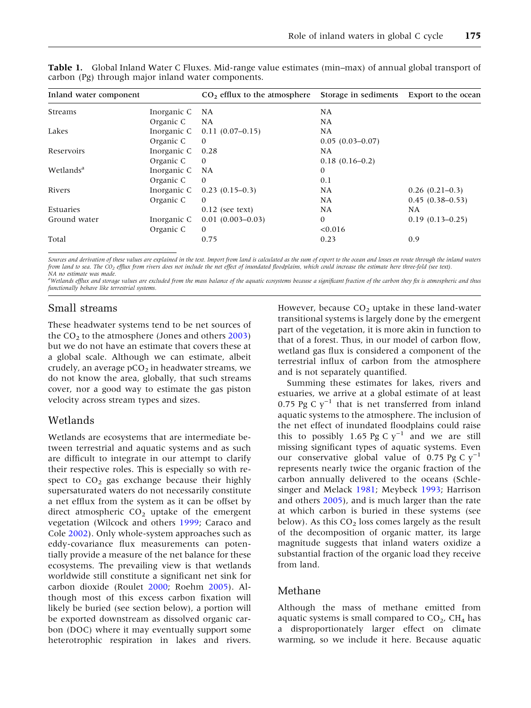| Inland water component |             | $CO2$ efflux to the atmosphere | Storage in sediments | Export to the ocean |
|------------------------|-------------|--------------------------------|----------------------|---------------------|
| Streams                | Inorganic C | NA                             | NA                   |                     |
|                        | Organic C   | NA.                            | NA.                  |                     |
| Lakes                  | Inorganic C | $0.11(0.07-0.15)$              | NA                   |                     |
|                        | Organic C   | $\Omega$                       | $0.05(0.03-0.07)$    |                     |
| Reservoirs             | Inorganic C | 0.28                           | NA                   |                     |
|                        | Organic C   | $\Omega$                       | $0.18(0.16-0.2)$     |                     |
| Wetlands <sup>a</sup>  | Inorganic C | NA                             | 0                    |                     |
|                        | Organic C   | $\Omega$                       | 0.1                  |                     |
| Rivers                 | Inorganic C | $0.23(0.15-0.3)$               | NA.                  | $0.26(0.21-0.3)$    |
|                        | Organic C   | $\Omega$                       | NA                   | $0.45(0.38-0.53)$   |
| Estuaries              |             | $0.12$ (see text)              | NA                   | NA                  |
| Ground water           | Inorganic C | $0.01(0.003 - 0.03)$           | $\mathbf{0}$         | $0.19(0.13 - 0.25)$ |
|                        | Organic C   | $\Omega$                       | < 0.016              |                     |
| Total                  |             | 0.75                           | 0.23                 | 0.9                 |

<span id="page-4-0"></span>Table 1. Global Inland Water C Fluxes. Mid-range value estimates (min–max) of annual global transport of carbon (Pg) through major inland water components.

Sources and derivation of these values are explained in the text. Import from land is calculated as the sum of export to the ocean and losses en route through the inland waters from land to sea. The CO<sub>2</sub> efflux from rivers does not include the net effect of inundated floodplains, which could increase the estimate here three-fold (see text). NA no estimate was made.

.<br><sup>a</sup>Wetlands efflux and storage values are excluded from the mass balance of the aquatic ecosystems because a significant fraction of the carbon they fix is atmospheric and thus functionally behave like terrestrial systems.

## Small streams

These headwater systems tend to be net sources of the  $CO<sub>2</sub>$  to the atmosphere (Jones and others  $2003$ ) but we do not have an estimate that covers these at a global scale. Although we can estimate, albeit crudely, an average  $pCO<sub>2</sub>$  in headwater streams, we do not know the area, globally, that such streams cover, nor a good way to estimate the gas piston velocity across stream types and sizes.

# Wetlands

Wetlands are ecosystems that are intermediate between terrestrial and aquatic systems and as such are difficult to integrate in our attempt to clarify their respective roles. This is especially so with respect to  $CO<sub>2</sub>$  gas exchange because their highly supersaturated waters do not necessarily constitute a net efflux from the system as it can be offset by direct atmospheric  $CO<sub>2</sub>$  uptake of the emergent vegetation (Wilcock and others [1999;](#page-13-0) Caraco and Cole [2002](#page-11-0)). Only whole-system approaches such as eddy-covariance flux measurements can potentially provide a measure of the net balance for these ecosystems. The prevailing view is that wetlands worldwide still constitute a significant net sink for carbon dioxide (Roulet [2000;](#page-13-0) Roehm [2005](#page-13-0)). Although most of this excess carbon fixation will likely be buried (see section below), a portion will be exported downstream as dissolved organic carbon (DOC) where it may eventually support some heterotrophic respiration in lakes and rivers.

However, because  $CO<sub>2</sub>$  uptake in these land-water transitional systems is largely done by the emergent part of the vegetation, it is more akin in function to that of a forest. Thus, in our model of carbon flow, wetland gas flux is considered a component of the terrestrial influx of carbon from the atmosphere and is not separately quantified.

Summing these estimates for lakes, rivers and estuaries, we arrive at a global estimate of at least 0.75 Pg C  $y^{-1}$  that is net transferred from inland aquatic systems to the atmosphere. The inclusion of the net effect of inundated floodplains could raise this to possibly 1.65 Pg C  $y^{-1}$  and we are still missing significant types of aquatic systems. Even our conservative global value of 0.75 Pg C  $y^{-1}$ represents nearly twice the organic fraction of the carbon annually delivered to the oceans (Schlesinger and Melack [1981](#page-13-0); Meybeck [1993](#page-12-0); Harrison and others [2005](#page-12-0)), and is much larger than the rate at which carbon is buried in these systems (see below). As this  $CO<sub>2</sub>$  loss comes largely as the result of the decomposition of organic matter, its large magnitude suggests that inland waters oxidize a substantial fraction of the organic load they receive from land.

## Methane

Although the mass of methane emitted from aquatic systems is small compared to  $CO<sub>2</sub>$ ,  $CH<sub>4</sub>$  has a disproportionately larger effect on climate warming, so we include it here. Because aquatic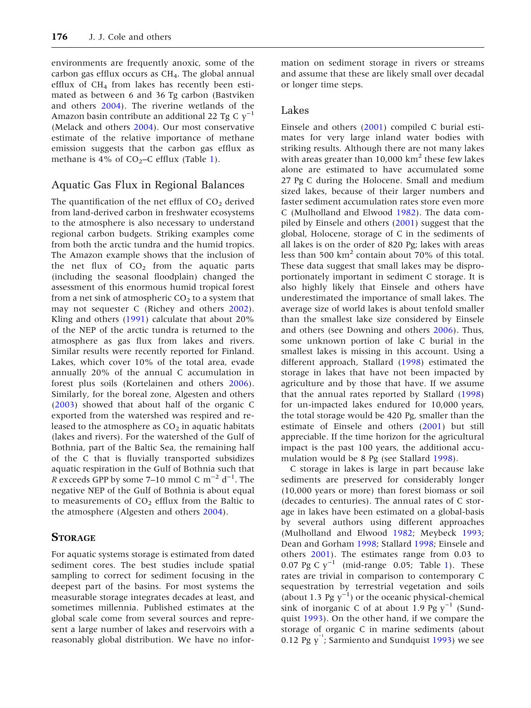environments are frequently anoxic, some of the carbon gas efflux occurs as  $CH<sub>4</sub>$ . The global annual efflux of  $CH_4$  from lakes has recently been estimated as between 6 and 36 Tg carbon (Bastviken and others [2004](#page-11-0)). The riverine wetlands of the Amazon basin contribute an additional 22 Tg C  $y^{-1}$ (Melack and others [2004\)](#page-12-0). Our most conservative estimate of the relative importance of methane emission suggests that the carbon gas efflux as methane is 4% of  $CO<sub>2</sub>-C$  efflux (Table [1\)](#page-4-0).

### Aquatic Gas Flux in Regional Balances

The quantification of the net efflux of  $CO<sub>2</sub>$  derived from land-derived carbon in freshwater ecosystems to the atmosphere is also necessary to understand regional carbon budgets. Striking examples come from both the arctic tundra and the humid tropics. The Amazon example shows that the inclusion of the net flux of  $CO<sub>2</sub>$  from the aquatic parts (including the seasonal floodplain) changed the assessment of this enormous humid tropical forest from a net sink of atmospheric  $CO<sub>2</sub>$  to a system that may not sequester C (Richey and others [2002](#page-13-0)). Kling and others ([1991\)](#page-12-0) calculate that about 20% of the NEP of the arctic tundra is returned to the atmosphere as gas flux from lakes and rivers. Similar results were recently reported for Finland. Lakes, which cover 10% of the total area, evade annually 20% of the annual C accumulation in forest plus soils (Kortelainen and others [2006](#page-12-0)). Similarly, for the boreal zone, Algesten and others [\(2003](#page-11-0)) showed that about half of the organic C exported from the watershed was respired and released to the atmosphere as  $CO<sub>2</sub>$  in aquatic habitats (lakes and rivers). For the watershed of the Gulf of Bothnia, part of the Baltic Sea, the remaining half of the C that is fluvially transported subsidizes aquatic respiration in the Gulf of Bothnia such that R exceeds GPP by some 7–10 mmol C m<sup>-2</sup> d<sup>-1</sup>. The negative NEP of the Gulf of Bothnia is about equal to measurements of  $CO<sub>2</sub>$  efflux from the Baltic to the atmosphere (Algesten and others [2004\)](#page-11-0).

### **STORAGE**

For aquatic systems storage is estimated from dated sediment cores. The best studies include spatial sampling to correct for sediment focusing in the deepest part of the basins. For most systems the measurable storage integrates decades at least, and sometimes millennia. Published estimates at the global scale come from several sources and represent a large number of lakes and reservoirs with a reasonably global distribution. We have no infor-

mation on sediment storage in rivers or streams and assume that these are likely small over decadal or longer time steps.

#### Lakes

Einsele and others [\(2001](#page-11-0)) compiled C burial estimates for very large inland water bodies with striking results. Although there are not many lakes with areas greater than 10,000  $km^2$  these few lakes alone are estimated to have accumulated some 27 Pg C during the Holocene. Small and medium sized lakes, because of their larger numbers and faster sediment accumulation rates store even more C (Mulholland and Elwood [1982](#page-12-0)). The data compiled by Einsele and others [\(2001](#page-11-0)) suggest that the global, Holocene, storage of C in the sediments of all lakes is on the order of 820 Pg; lakes with areas less than 500  $km^2$  contain about 70% of this total. These data suggest that small lakes may be disproportionately important in sediment C storage. It is also highly likely that Einsele and others have underestimated the importance of small lakes. The average size of world lakes is about tenfold smaller than the smallest lake size considered by Einsele and others (see Downing and others [2006\)](#page-11-0). Thus, some unknown portion of lake C burial in the smallest lakes is missing in this account. Using a different approach, Stallard ([1998\)](#page-13-0) estimated the storage in lakes that have not been impacted by agriculture and by those that have. If we assume that the annual rates reported by Stallard ([1998\)](#page-13-0) for un-impacted lakes endured for 10,000 years, the total storage would be 420 Pg, smaller than the estimate of Einsele and others [\(2001](#page-11-0)) but still appreciable. If the time horizon for the agricultural impact is the past 100 years, the additional accumulation would be 8 Pg (see Stallard [1998](#page-13-0)).

C storage in lakes is large in part because lake sediments are preserved for considerably longer (10,000 years or more) than forest biomass or soil (decades to centuries). The annual rates of C storage in lakes have been estimated on a global-basis by several authors using different approaches (Mulholland and Elwood [1982](#page-12-0); Meybeck [1993;](#page-12-0) Dean and Gorham [1998](#page-13-0); Stallard 1998; Einsele and others [2001\)](#page-11-0). The estimates range from 0.03 to 0.07 Pg C  $y^{-1}$  $y^{-1}$  $y^{-1}$  (mid-range 0.05; Table 1). These rates are trivial in comparison to contemporary C sequestration by terrestrial vegetation and soils (about 1.3 Pg  $y^{-1}$ ) or the oceanic physical-chemical sink of inorganic C of at about 1.9 Pg  $y^{-1}$  (Sund-quist [1993](#page-13-0)). On the other hand, if we compare the storage of organic C in marine sediments (about 0.12 Pg  $y^{-1}$ ; Sarmiento and Sundquist [1993\)](#page-13-0) we see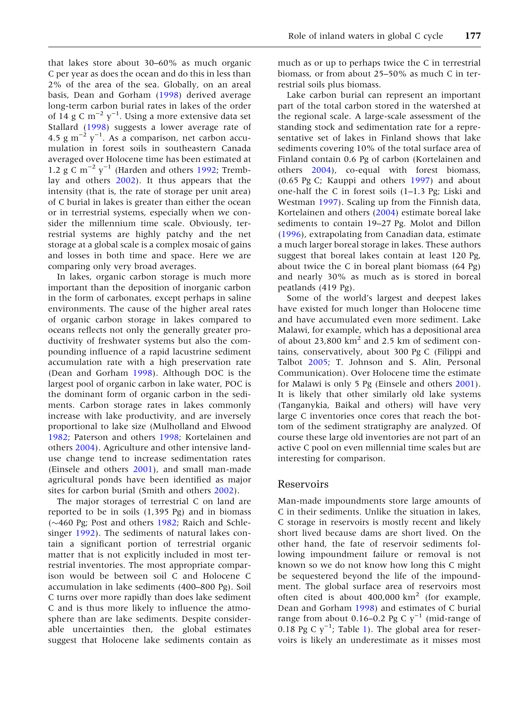that lakes store about 30–60% as much organic C per year as does the ocean and do this in less than 2% of the area of the sea. Globally, on an areal basis, Dean and Gorham ([1998\)](#page-11-0) derived average long-term carbon burial rates in lakes of the order of 14 g C  $\mathrm{m}^{-2}$   $\mathrm{y}^{-1}$ . Using a more extensive data set Stallard ([1998\)](#page-13-0) suggests a lower average rate of 4.5 g m<sup> $-2$ </sup> y<sup>-1</sup>. As a comparison, net carbon accumulation in forest soils in southeastern Canada averaged over Holocene time has been estimated at 1.2 g C  $\mathrm{m}^{-2}$  y<sup>-1</sup> (Harden and others [1992](#page-12-0); Tremblay and others [2002\)](#page-13-0). It thus appears that the intensity (that is, the rate of storage per unit area) of C burial in lakes is greater than either the ocean or in terrestrial systems, especially when we consider the millennium time scale. Obviously, terrestrial systems are highly patchy and the net storage at a global scale is a complex mosaic of gains and losses in both time and space. Here we are comparing only very broad averages.

In lakes, organic carbon storage is much more important than the deposition of inorganic carbon in the form of carbonates, except perhaps in saline environments. The cause of the higher areal rates of organic carbon storage in lakes compared to oceans reflects not only the generally greater productivity of freshwater systems but also the compounding influence of a rapid lacustrine sediment accumulation rate with a high preservation rate (Dean and Gorham [1998](#page-11-0)). Although DOC is the largest pool of organic carbon in lake water, POC is the dominant form of organic carbon in the sediments. Carbon storage rates in lakes commonly increase with lake productivity, and are inversely proportional to lake size (Mulholland and Elwood [1982;](#page-12-0) Paterson and others [1998](#page-12-0); Kortelainen and others [2004](#page-12-0)). Agriculture and other intensive landuse change tend to increase sedimentation rates (Einsele and others [2001\)](#page-11-0), and small man-made agricultural ponds have been identified as major sites for carbon burial (Smith and others [2002\)](#page-13-0).

The major storages of terrestrial C on land are reported to be in soils (1,395 Pg) and in biomass  $(\sim460$  Pg; Post and others [1982;](#page-12-0) Raich and Schlesinger [1992](#page-12-0)). The sediments of natural lakes contain a significant portion of terrestrial organic matter that is not explicitly included in most terrestrial inventories. The most appropriate comparison would be between soil C and Holocene C accumulation in lake sediments (400–800 Pg). Soil C turns over more rapidly than does lake sediment C and is thus more likely to influence the atmosphere than are lake sediments. Despite considerable uncertainties then, the global estimates suggest that Holocene lake sediments contain as much as or up to perhaps twice the C in terrestrial biomass, or from about 25–50% as much C in terrestrial soils plus biomass.

Lake carbon burial can represent an important part of the total carbon stored in the watershed at the regional scale. A large-scale assessment of the standing stock and sedimentation rate for a representative set of lakes in Finland shows that lake sediments covering 10% of the total surface area of Finland contain 0.6 Pg of carbon (Kortelainen and others [2004](#page-12-0)), co-equal with forest biomass, (0.65 Pg C; Kauppi and others [1997](#page-12-0)) and about one-half the C in forest soils (1–1.3 Pg; Liski and Westman [1997](#page-12-0)). Scaling up from the Finnish data, Kortelainen and others [\(2004](#page-12-0)) estimate boreal lake sediments to contain 19–27 Pg. Molot and Dillon ([1996\)](#page-12-0), extrapolating from Canadian data, estimate a much larger boreal storage in lakes. These authors suggest that boreal lakes contain at least 120 Pg, about twice the C in boreal plant biomass (64 Pg) and nearly 30% as much as is stored in boreal peatlands (419 Pg).

Some of the world's largest and deepest lakes have existed for much longer than Holocene time and have accumulated even more sediment. Lake Malawi, for example, which has a depositional area of about 23,800  $km<sup>2</sup>$  and 2.5 km of sediment contains, conservatively, about 300 Pg C (Filippi and Talbot [2005;](#page-11-0) T. Johnson and S. Alin, Personal Communication). Over Holocene time the estimate for Malawi is only 5 Pg (Einsele and others [2001](#page-11-0)). It is likely that other similarly old lake systems (Tanganykia, Baikal and others) will have very large C inventories once cores that reach the bottom of the sediment stratigraphy are analyzed. Of course these large old inventories are not part of an active C pool on even millennial time scales but are interesting for comparison.

## Reservoirs

Man-made impoundments store large amounts of C in their sediments. Unlike the situation in lakes, C storage in reservoirs is mostly recent and likely short lived because dams are short lived. On the other hand, the fate of reservoir sediments following impoundment failure or removal is not known so we do not know how long this C might be sequestered beyond the life of the impoundment. The global surface area of reservoirs most often cited is about  $400,000 \text{ km}^2$  (for example, Dean and Gorham [1998](#page-11-0)) and estimates of C burial range from about 0.16–0.2 Pg C  $y^{-1}$  (mid-range of 0.[1](#page-4-0)8 Pg C  $y^{-1}$ ; Table 1). The global area for reservoirs is likely an underestimate as it misses most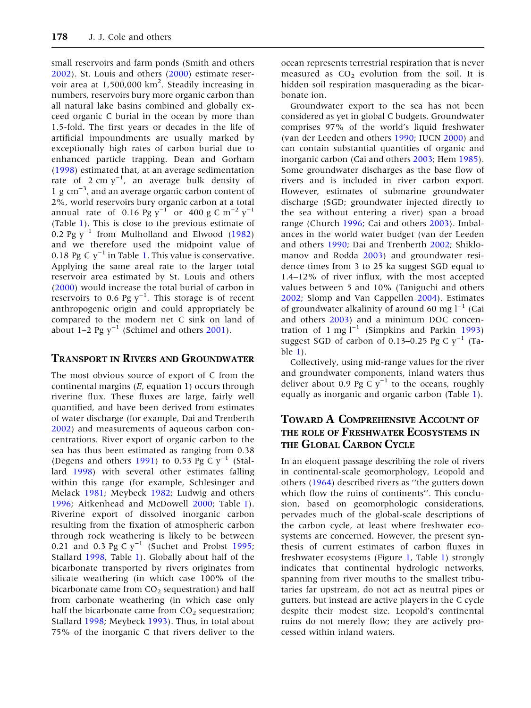small reservoirs and farm ponds (Smith and others [2002\)](#page-13-0). St. Louis and others ([2000\)](#page-13-0) estimate reservoir area at 1,500,000  $\text{km}^2$ . Steadily increasing in numbers, reservoirs bury more organic carbon than all natural lake basins combined and globally exceed organic C burial in the ocean by more than 1.5-fold. The first years or decades in the life of artificial impoundments are usually marked by exceptionally high rates of carbon burial due to enhanced particle trapping. Dean and Gorham [\(1998](#page-11-0)) estimated that, at an average sedimentation rate of  $2 \text{ cm } y^{-1}$ , an average bulk density of  $1 \text{ g cm}^{-3}$ , and an average organic carbon content of 2%, world reservoirs bury organic carbon at a total annual rate of 0.16 Pg  $y^{-1}$  or 400 g C m<sup>-2</sup>  $y^{-1}$ (Table [1\)](#page-4-0). This is close to the previous estimate of 0.2 Pg  $y^{-1}$  from Mulholland and Elwood ([1982\)](#page-12-0) and we therefore used the midpoint value of 0.18 Pg C  $y^{-1}$  in Table [1.](#page-4-0) This value is conservative. Applying the same areal rate to the larger total reservoir area estimated by St. Louis and others [\(2000](#page-13-0)) would increase the total burial of carbon in reservoirs to 0.6 Pg  $y^{-1}$ . This storage is of recent anthropogenic origin and could appropriately be compared to the modern net C sink on land of about 1–2 Pg  $y^{-1}$  (Schimel and others [2001\)](#page-13-0).

### TRANSPORT IN RIVERS AND GROUNDWATER

The most obvious source of export of C from the continental margins  $(E,$  equation 1) occurs through riverine flux. These fluxes are large, fairly well quantified, and have been derived from estimates of water discharge (for example, Dai and Trenberth [2002\)](#page-11-0) and measurements of aqueous carbon concentrations. River export of organic carbon to the sea has thus been estimated as ranging from 0.38 (Degens and others [1991](#page-11-0)) to 0.53 Pg C  $y^{-1}$  (Stallard [1998](#page-13-0)) with several other estimates falling within this range (for example, Schlesinger and Melack [1981](#page-13-0); Meybeck [1982;](#page-12-0) Ludwig and others [1996;](#page-12-0) Aitkenhead and McDowell [2000;](#page-10-0) Table [1](#page-4-0)). Riverine export of dissolved inorganic carbon resulting from the fixation of atmospheric carbon through rock weathering is likely to be between 0.21 and 0.3 Pg C  $y^{-1}$  (Suchet and Probst [1995;](#page-13-0) Stallard [1998](#page-13-0), Table [1](#page-4-0)). Globally about half of the bicarbonate transported by rivers originates from silicate weathering (in which case 100% of the bicarbonate came from  $CO<sub>2</sub>$  sequestration) and half from carbonate weathering (in which case only half the bicarbonate came from  $CO<sub>2</sub>$  sequestration; Stallard [1998](#page-13-0); Meybeck [1993](#page-12-0)). Thus, in total about 75% of the inorganic C that rivers deliver to the

ocean represents terrestrial respiration that is never measured as  $CO<sub>2</sub>$  evolution from the soil. It is hidden soil respiration masquerading as the bicarbonate ion.

Groundwater export to the sea has not been considered as yet in global C budgets. Groundwater comprises 97% of the world's liquid freshwater (van der Leeden and others [1990;](#page-13-0) IUCN [2000](#page-12-0)) and can contain substantial quantities of organic and inorganic carbon (Cai and others [2003](#page-11-0); Hem [1985](#page-12-0)). Some groundwater discharges as the base flow of rivers and is included in river carbon export. However, estimates of submarine groundwater discharge (SGD; groundwater injected directly to the sea without entering a river) span a broad range (Church [1996](#page-11-0); Cai and others [2003](#page-11-0)). Imbalances in the world water budget (van der Leeden and others [1990](#page-13-0); Dai and Trenberth [2002](#page-11-0); Shiklomanov and Rodda [2003](#page-13-0)) and groundwater residence times from 3 to 25 ka suggest SGD equal to 1.4–12% of river influx, with the most accepted values between 5 and 10% (Taniguchi and others [2002;](#page-13-0) Slomp and Van Cappellen [2004\)](#page-13-0). Estimates of groundwater alkalinity of around 60 mg  $l^{-1}$  (Cai and others [2003\)](#page-11-0) and a minimum DOC concentration of 1 mg  $1^{-1}$  (Simpkins and Parkin [1993\)](#page-13-0) suggest SGD of carbon of 0.13–0.25 Pg C  $y^{-1}$  (Table [1\)](#page-4-0).

Collectively, using mid-range values for the river and groundwater components, inland waters thus deliver about 0.9 Pg C  $y^{-1}$  to the oceans, roughly equally as inorganic and organic carbon (Table [1\)](#page-4-0).

# TOWARD A COMPREHENSIVE ACCOUNT OF THE ROLE OF FRESHWATER ECOSYSTEMS IN THE GLOBAL CARBON CYCLE

In an eloquent passage describing the role of rivers in continental-scale geomorphology, Leopold and others ([1964\)](#page-12-0) described rivers as ''the gutters down which flow the ruins of continents''. This conclusion, based on geomorphologic considerations, pervades much of the global-scale descriptions of the carbon cycle, at least where freshwater ecosystems are concerned. However, the present synthesis of current estimates of carbon fluxes in freshwater ecosystems (Figure [1](#page-3-0), Table [1](#page-4-0)) strongly indicates that continental hydrologic networks, spanning from river mouths to the smallest tributaries far upstream, do not act as neutral pipes or gutters, but instead are active players in the C cycle despite their modest size. Leopold's continental ruins do not merely flow; they are actively processed within inland waters.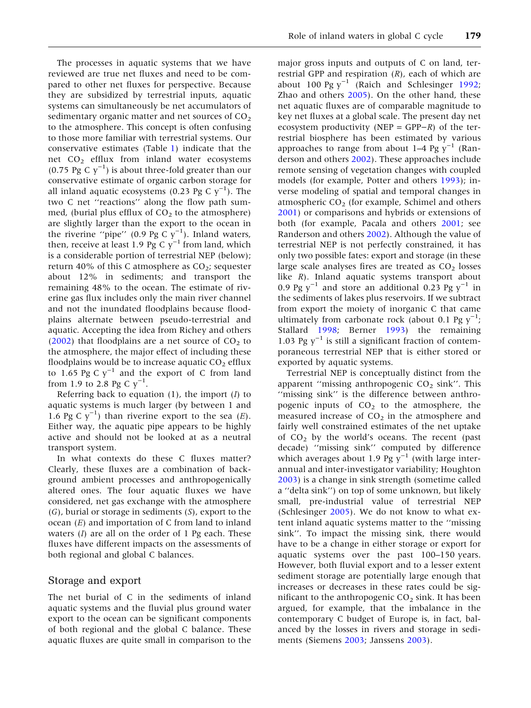The processes in aquatic systems that we have reviewed are true net fluxes and need to be compared to other net fluxes for perspective. Because they are subsidized by terrestrial inputs, aquatic systems can simultaneously be net accumulators of sedimentary organic matter and net sources of  $CO<sub>2</sub>$ to the atmosphere. This concept is often confusing to those more familiar with terrestrial systems. Our conservative estimates (Table [1](#page-4-0)) indicate that the net CO<sub>2</sub> efflux from inland water ecosystems (0.75 Pg C  $y^{-1}$ ) is about three-fold greater than our conservative estimate of organic carbon storage for all inland aquatic ecosystems (0.23 Pg C  $y^{-1}$ ). The two C net ''reactions'' along the flow path summed, (burial plus efflux of  $CO<sub>2</sub>$  to the atmosphere) are slightly larger than the export to the ocean in the riverine "pipe" (0.9 Pg C  $y^{-1}$ ). Inland waters, then, receive at least 1.9 Pg C  $y^{-1}$  from land, which is a considerable portion of terrestrial NEP (below); return 40% of this C atmosphere as  $CO<sub>2</sub>$ ; sequester about 12% in sediments; and transport the remaining 48% to the ocean. The estimate of riverine gas flux includes only the main river channel and not the inundated floodplains because floodplains alternate between pseudo-terrestrial and aquatic. Accepting the idea from Richey and others ([2002\)](#page-13-0) that floodplains are a net source of  $CO<sub>2</sub>$  to the atmosphere, the major effect of including these floodplains would be to increase aquatic  $CO<sub>2</sub>$  efflux to 1.65 Pg C  $y^{-1}$  and the export of C from land from 1.9 to 2.8 Pg C  $y^{-1}$ .

Referring back to equation  $(1)$ , the import  $(I)$  to aquatic systems is much larger (by between 1 and 1.6 Pg C  $y^{-1}$ ) than riverine export to the sea (E). Either way, the aquatic pipe appears to be highly active and should not be looked at as a neutral transport system.

In what contexts do these C fluxes matter? Clearly, these fluxes are a combination of background ambient processes and anthropogenically altered ones. The four aquatic fluxes we have considered, net gas exchange with the atmosphere  $(G)$ , burial or storage in sediments  $(S)$ , export to the ocean  $(E)$  and importation of C from land to inland waters  $(I)$  are all on the order of 1 Pg each. These fluxes have different impacts on the assessments of both regional and global C balances.

### Storage and export

The net burial of C in the sediments of inland aquatic systems and the fluvial plus ground water export to the ocean can be significant components of both regional and the global C balance. These aquatic fluxes are quite small in comparison to the

major gross inputs and outputs of C on land, terrestrial GPP and respiration  $(R)$ , each of which are about 100 Pg  $y^{-1}$  (Raich and Schlesinger [1992](#page-12-0); Zhao and others [2005](#page-13-0)). On the other hand, these net aquatic fluxes are of comparable magnitude to key net fluxes at a global scale. The present day net ecosystem productivity (NEP = GPP- $R$ ) of the terrestrial biosphere has been estimated by various approaches to range from about 1–4 Pg  $y^{-1}$  (Randerson and others [2002](#page-13-0)). These approaches include remote sensing of vegetation changes with coupled models (for example, Potter and others [1993\)](#page-12-0); inverse modeling of spatial and temporal changes in atmospheric  $CO<sub>2</sub>$  (for example, Schimel and others [2001\)](#page-13-0) or comparisons and hybrids or extensions of both (for example, Pacala and others [2001;](#page-12-0) see Randerson and others [2002](#page-13-0)). Although the value of terrestrial NEP is not perfectly constrained, it has only two possible fates: export and storage (in these large scale analyses fires are treated as  $CO<sub>2</sub>$  losses like R). Inland aquatic systems transport about 0.9 Pg  $y^{-1}$  and store an additional 0.23 Pg  $y^{-1}$  in the sediments of lakes plus reservoirs. If we subtract from export the moiety of inorganic C that came ultimately from carbonate rock (about 0.1 Pg  $y^{-1}$ ; Stallard [1998](#page-13-0); Berner [1993](#page-11-0)) the remaining 1.03 Pg  $y^{-1}$  is still a significant fraction of contemporaneous terrestrial NEP that is either stored or exported by aquatic systems.

Terrestrial NEP is conceptually distinct from the apparent "missing anthropogenic  $CO<sub>2</sub>$  sink". This ''missing sink'' is the difference between anthropogenic inputs of  $CO<sub>2</sub>$  to the atmosphere, the measured increase of  $CO<sub>2</sub>$  in the atmosphere and fairly well constrained estimates of the net uptake of  $CO<sub>2</sub>$  by the world's oceans. The recent (past decade) ''missing sink'' computed by difference which averages about 1.9 Pg  $y^{-1}$  (with large interannual and inter-investigator variability; Houghton [2003\)](#page-12-0) is a change in sink strength (sometime called a ''delta sink'') on top of some unknown, but likely small, pre-industrial value of terrestrial NEP (Schlesinger [2005](#page-13-0)). We do not know to what extent inland aquatic systems matter to the ''missing sink''. To impact the missing sink, there would have to be a change in either storage or export for aquatic systems over the past 100–150 years. However, both fluvial export and to a lesser extent sediment storage are potentially large enough that increases or decreases in these rates could be significant to the anthropogenic  $CO<sub>2</sub>$  sink. It has been argued, for example, that the imbalance in the contemporary C budget of Europe is, in fact, balanced by the losses in rivers and storage in sediments (Siemens [2003;](#page-13-0) Janssens [2003](#page-12-0)).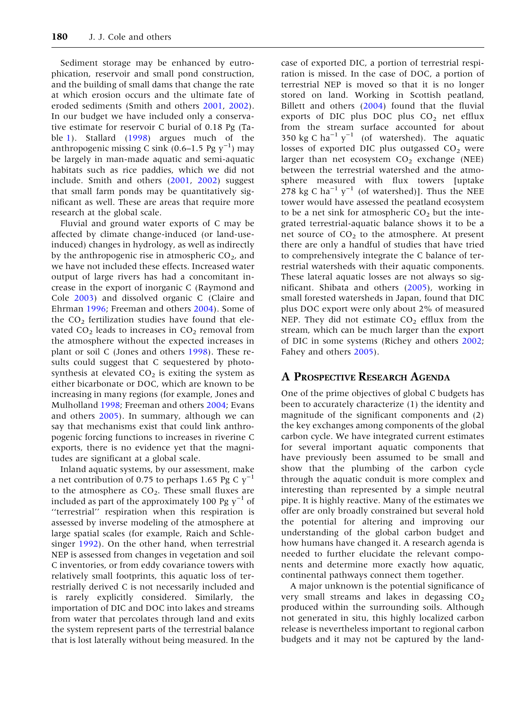Sediment storage may be enhanced by eutrophication, reservoir and small pond construction, and the building of small dams that change the rate at which erosion occurs and the ultimate fate of eroded sediments (Smith and others [2001](#page-13-0), [2002](#page-13-0)). In our budget we have included only a conservative estimate for reservoir C burial of 0.18 Pg (Ta-ble [1\)](#page-4-0). Stallard [\(1998](#page-13-0)) argues much of the anthropogenic missing C sink (0.6–1.5 Pg  $y^{-1}$ ) may be largely in man-made aquatic and semi-aquatic habitats such as rice paddies, which we did not include. Smith and others [\(2001,](#page-13-0) [2002](#page-13-0)) suggest that small farm ponds may be quantitatively significant as well. These are areas that require more research at the global scale.

Fluvial and ground water exports of C may be affected by climate change-induced (or land-useinduced) changes in hydrology, as well as indirectly by the anthropogenic rise in atmospheric  $CO<sub>2</sub>$ , and we have not included these effects. Increased water output of large rivers has had a concomitant increase in the export of inorganic C (Raymond and Cole [2003\)](#page-13-0) and dissolved organic C (Claire and Ehrman [1996;](#page-11-0) Freeman and others [2004\)](#page-11-0). Some of the  $CO<sub>2</sub>$  fertilization studies have found that elevated  $CO<sub>2</sub>$  leads to increases in  $CO<sub>2</sub>$  removal from the atmosphere without the expected increases in plant or soil C (Jones and others [1998](#page-12-0)). These results could suggest that C sequestered by photosynthesis at elevated  $CO<sub>2</sub>$  is exiting the system as either bicarbonate or DOC, which are known to be increasing in many regions (for example, Jones and Mulholland [1998](#page-12-0); Freeman and others [2004;](#page-11-0) Evans and others [2005\)](#page-11-0). In summary, although we can say that mechanisms exist that could link anthropogenic forcing functions to increases in riverine C exports, there is no evidence yet that the magnitudes are significant at a global scale.

Inland aquatic systems, by our assessment, make a net contribution of 0.75 to perhaps 1.65 Pg C  $y^{-1}$ to the atmosphere as  $CO<sub>2</sub>$ . These small fluxes are included as part of the approximately 100 Pg  $y^{-1}$  of ''terrestrial'' respiration when this respiration is assessed by inverse modeling of the atmosphere at large spatial scales (for example, Raich and Schlesinger [1992\)](#page-12-0). On the other hand, when terrestrial NEP is assessed from changes in vegetation and soil C inventories, or from eddy covariance towers with relatively small footprints, this aquatic loss of terrestrially derived C is not necessarily included and is rarely explicitly considered. Similarly, the importation of DIC and DOC into lakes and streams from water that percolates through land and exits the system represent parts of the terrestrial balance that is lost laterally without being measured. In the

case of exported DIC, a portion of terrestrial respiration is missed. In the case of DOC, a portion of terrestrial NEP is moved so that it is no longer stored on land. Working in Scottish peatland, Billett and others [\(2004](#page-11-0)) found that the fluvial exports of DIC plus DOC plus  $CO<sub>2</sub>$  net efflux from the stream surface accounted for about 350 kg C ha<sup>-1</sup> y<sup>-1</sup> (of watershed). The aquatic losses of exported DIC plus outgassed  $CO<sub>2</sub>$  were larger than net ecosystem  $CO<sub>2</sub>$  exchange (NEE) between the terrestrial watershed and the atmosphere measured with flux towers [uptake 278 kg C ha<sup>-1</sup> y<sup>-1</sup> (of watershed)]. Thus the NEE tower would have assessed the peatland ecosystem to be a net sink for atmospheric  $CO<sub>2</sub>$  but the integrated terrestrial-aquatic balance shows it to be a net source of  $CO<sub>2</sub>$  to the atmosphere. At present there are only a handful of studies that have tried to comprehensively integrate the C balance of terrestrial watersheds with their aquatic components. These lateral aquatic losses are not always so significant. Shibata and others ([2005\)](#page-13-0), working in small forested watersheds in Japan, found that DIC plus DOC export were only about 2% of measured NEP. They did not estimate  $CO<sub>2</sub>$  efflux from the stream, which can be much larger than the export of DIC in some systems (Richey and others [2002;](#page-13-0) Fahey and others [2005\)](#page-11-0).

### A PROSPECTIVE RESEARCH AGENDA

One of the prime objectives of global C budgets has been to accurately characterize (1) the identity and magnitude of the significant components and (2) the key exchanges among components of the global carbon cycle. We have integrated current estimates for several important aquatic components that have previously been assumed to be small and show that the plumbing of the carbon cycle through the aquatic conduit is more complex and interesting than represented by a simple neutral pipe. It is highly reactive. Many of the estimates we offer are only broadly constrained but several hold the potential for altering and improving our understanding of the global carbon budget and how humans have changed it. A research agenda is needed to further elucidate the relevant components and determine more exactly how aquatic, continental pathways connect them together.

A major unknown is the potential significance of very small streams and lakes in degassing  $CO<sub>2</sub>$ produced within the surrounding soils. Although not generated in situ, this highly localized carbon release is nevertheless important to regional carbon budgets and it may not be captured by the land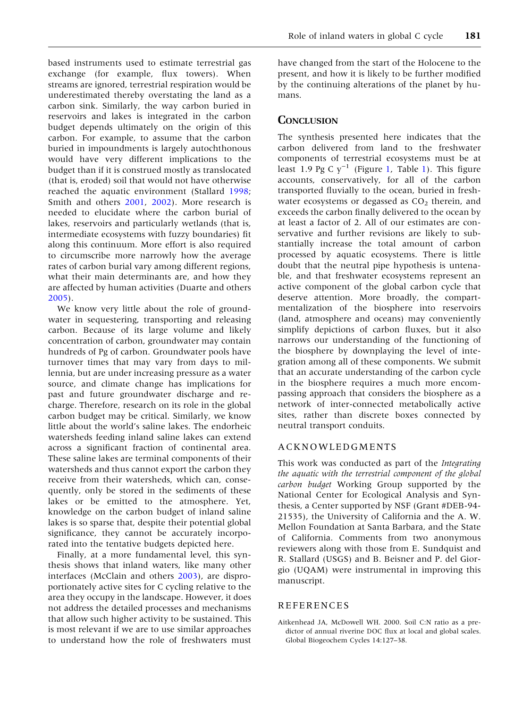<span id="page-10-0"></span>based instruments used to estimate terrestrial gas exchange (for example, flux towers). When streams are ignored, terrestrial respiration would be underestimated thereby overstating the land as a carbon sink. Similarly, the way carbon buried in reservoirs and lakes is integrated in the carbon budget depends ultimately on the origin of this carbon. For example, to assume that the carbon buried in impoundments is largely autochthonous would have very different implications to the budget than if it is construed mostly as translocated (that is, eroded) soil that would not have otherwise reached the aquatic environment (Stallard [1998](#page-13-0); Smith and others [2001,](#page-13-0) [2002\)](#page-13-0). More research is needed to elucidate where the carbon burial of lakes, reservoirs and particularly wetlands (that is, intermediate ecosystems with fuzzy boundaries) fit along this continuum. More effort is also required to circumscribe more narrowly how the average rates of carbon burial vary among different regions, what their main determinants are, and how they are affected by human activities (Duarte and others [2005\)](#page-11-0).

We know very little about the role of groundwater in sequestering, transporting and releasing carbon. Because of its large volume and likely concentration of carbon, groundwater may contain hundreds of Pg of carbon. Groundwater pools have turnover times that may vary from days to millennia, but are under increasing pressure as a water source, and climate change has implications for past and future groundwater discharge and recharge. Therefore, research on its role in the global carbon budget may be critical. Similarly, we know little about the world's saline lakes. The endorheic watersheds feeding inland saline lakes can extend across a significant fraction of continental area. These saline lakes are terminal components of their watersheds and thus cannot export the carbon they receive from their watersheds, which can, consequently, only be stored in the sediments of these lakes or be emitted to the atmosphere. Yet, knowledge on the carbon budget of inland saline lakes is so sparse that, despite their potential global significance, they cannot be accurately incorporated into the tentative budgets depicted here.

Finally, at a more fundamental level, this synthesis shows that inland waters, like many other interfaces (McClain and others [2003\)](#page-12-0), are disproportionately active sites for C cycling relative to the area they occupy in the landscape. However, it does not address the detailed processes and mechanisms that allow such higher activity to be sustained. This is most relevant if we are to use similar approaches to understand how the role of freshwaters must

have changed from the start of the Holocene to the present, and how it is likely to be further modified by the continuing alterations of the planet by humans.

## **CONCLUSION**

The synthesis presented here indicates that the carbon delivered from land to the freshwater components of terrestrial ecosystems must be at least [1](#page-4-0).9 Pg C  $y^{-1}$  (Figure [1,](#page-3-0) Table 1). This figure accounts, conservatively, for all of the carbon transported fluvially to the ocean, buried in freshwater ecosystems or degassed as  $CO<sub>2</sub>$  therein, and exceeds the carbon finally delivered to the ocean by at least a factor of 2. All of our estimates are conservative and further revisions are likely to substantially increase the total amount of carbon processed by aquatic ecosystems. There is little doubt that the neutral pipe hypothesis is untenable, and that freshwater ecosystems represent an active component of the global carbon cycle that deserve attention. More broadly, the compartmentalization of the biosphere into reservoirs (land, atmosphere and oceans) may conveniently simplify depictions of carbon fluxes, but it also narrows our understanding of the functioning of the biosphere by downplaying the level of integration among all of these components. We submit that an accurate understanding of the carbon cycle in the biosphere requires a much more encompassing approach that considers the biosphere as a network of inter-connected metabolically active sites, rather than discrete boxes connected by neutral transport conduits.

#### ACKNOWLEDGMENTS

This work was conducted as part of the *Integrating* the aquatic with the terrestrial component of the global carbon budget Working Group supported by the National Center for Ecological Analysis and Synthesis, a Center supported by NSF (Grant #DEB-94- 21535), the University of California and the A. W. Mellon Foundation at Santa Barbara, and the State of California. Comments from two anonymous reviewers along with those from E. Sundquist and R. Stallard (USGS) and B. Beisner and P. del Giorgio (UQAM) were instrumental in improving this manuscript.

#### REFERENCES

Aitkenhead JA, McDowell WH. 2000. Soil C:N ratio as a predictor of annual riverine DOC flux at local and global scales. Global Biogeochem Cycles 14:127–38.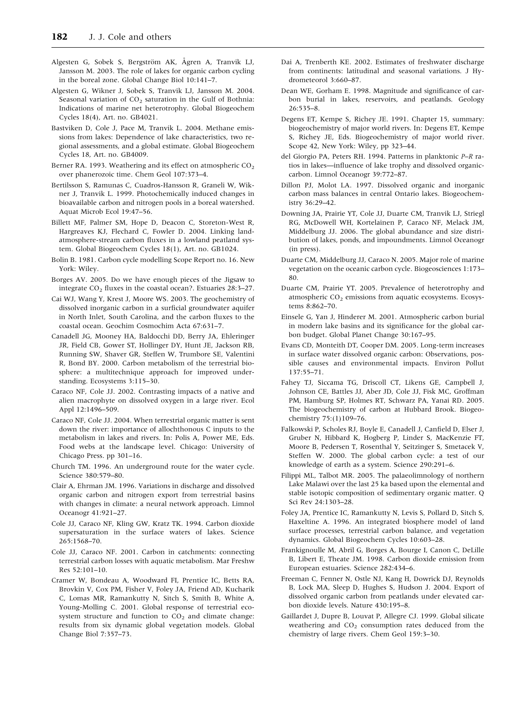- <span id="page-11-0"></span>Algesten G, Sobek S, Bergström AK, Ågren A, Tranvik LJ, Jansson M. 2003. The role of lakes for organic carbon cycling in the boreal zone. Global Change Biol 10:141–7.
- Algesten G, Wikner J, Sobek S, Tranvik LJ, Jansson M. 2004. Seasonal variation of  $CO<sub>2</sub>$  saturation in the Gulf of Bothnia: Indications of marine net heterotrophy. Global Biogeochem Cycles 18(4), Art. no. GB4021.
- Bastviken D, Cole J, Pace M, Tranvik L. 2004. Methane emissions from lakes: Dependence of lake characteristics, two regional assessments, and a global estimate. Global Biogeochem Cycles 18, Art. no. GB4009.
- Berner RA. 1993. Weathering and its effect on atmospheric  $CO<sub>2</sub>$ over phanerozoic time. Chem Geol 107:373–4.
- Bertilsson S, Ramunas C, Cuadros-Hansson R, Graneli W, Wikner J, Tranvik L. 1999. Photochemically induced changes in bioavailable carbon and nitrogen pools in a boreal watershed. Aquat Microb Ecol 19:47–56.
- Billett MF, Palmer SM, Hope D, Deacon C, Storeton-West R, Hargreaves KJ, Flechard C, Fowler D. 2004. Linking landatmosphere-stream carbon fluxes in a lowland peatland system. Global Biogeochem Cycles 18(1), Art. no. GB1024.
- Bolin B. 1981. Carbon cycle modelling Scope Report no. 16. New York: Wiley.
- Borges AV. 2005. Do we have enough pieces of the Jigsaw to integrate  $CO<sub>2</sub>$  fluxes in the coastal ocean?. Estuaries 28:3-27.
- Cai WJ, Wang Y, Krest J, Moore WS. 2003. The geochemistry of dissolved inorganic carbon in a surficial groundwater aquifer in North Inlet, South Carolina, and the carbon fluxes to the coastal ocean. Geochim Cosmochim Acta 67:631–7.
- Canadell JG, Mooney HA, Baldocchi DD, Berry JA, Ehleringer JR, Field CB, Gower ST, Hollinger DY, Hunt JE, Jackson RB, Running SW, Shaver GR, Steffen W, Trumbore SE, Valentini R, Bond BY. 2000. Carbon metabolism of the terrestrial biosphere: a multitechnique approach for improved understanding. Ecosystems 3:115–30.
- Caraco NF, Cole JJ. 2002. Contrasting impacts of a native and alien macrophyte on dissolved oxygen in a large river. Ecol Appl 12:1496–509.
- Caraco NF, Cole JJ. 2004. When terrestrial organic matter is sent down the river: importance of allochthonous C inputs to the metabolism in lakes and rivers. In: Polis A, Power ME, Eds. Food webs at the landscape level. Chicago: University of Chicago Press. pp 301–16.
- Church TM. 1996. An underground route for the water cycle. Science 380:579–80.
- Clair A, Ehrman JM. 1996. Variations in discharge and dissolved organic carbon and nitrogen export from terrestrial basins with changes in climate: a neural network approach. Limnol Oceanogr 41:921–27.
- Cole JJ, Caraco NF, Kling GW, Kratz TK. 1994. Carbon dioxide supersaturation in the surface waters of lakes. Science 265:1568–70.
- Cole JJ, Caraco NF. 2001. Carbon in catchments: connecting terrestrial carbon losses with aquatic metabolism. Mar Freshw Res 52:101–10.
- Cramer W, Bondeau A, Woodward FI, Prentice IC, Betts RA, Brovkin V, Cox PM, Fisher V, Foley JA, Friend AD, Kucharik C, Lomas MR, Ramankutty N, Sitch S, Smith B, White A, Young-Molling C. 2001. Global response of terrestrial ecosystem structure and function to  $CO<sub>2</sub>$  and climate change: results from six dynamic global vegetation models. Global Change Biol 7:357–73.
- Dai A, Trenberth KE. 2002. Estimates of freshwater discharge from continents: latitudinal and seasonal variations. J Hydrometeorol 3:660–87.
- Dean WE, Gorham E. 1998. Magnitude and significance of carbon burial in lakes, reservoirs, and peatlands. Geology 26:535–8.
- Degens ET, Kempe S, Richey JE. 1991. Chapter 15, summary: biogeochemistry of major world rivers. In: Degens ET, Kempe S, Richey JE, Eds. Biogeochemistry of major world river. Scope 42, New York: Wiley, pp 323–44.
- del Giorgio PA, Peters RH. 1994. Patterns in planktonic P-R ratios in lakes—influence of lake trophy and dissolved organiccarbon. Limnol Oceanogr 39:772–87.
- Dillon PJ, Molot LA. 1997. Dissolved organic and inorganic carbon mass balances in central Ontario lakes. Biogeochemistry 36:29–42.
- Downing JA, Prairie YT, Cole JJ, Duarte CM, Tranvik LJ, Striegl RG, McDowell WH, Kortelainen P, Caraco NF, Melack JM, Middelburg JJ. 2006. The global abundance and size distribution of lakes, ponds, and impoundments. Limnol Oceanogr (in press).
- Duarte CM, Middelburg JJ, Caraco N. 2005. Major role of marine vegetation on the oceanic carbon cycle. Biogeosciences 1:173– 80.
- Duarte CM, Prairie YT. 2005. Prevalence of heterotrophy and atmospheric  $CO<sub>2</sub>$  emissions from aquatic ecosystems. Ecosystems 8:862–70.
- Einsele G, Yan J, Hinderer M. 2001. Atmospheric carbon burial in modern lake basins and its significance for the global carbon budget. Global Planet Change 30:167–95.
- Evans CD, Monteith DT, Cooper DM. 2005. Long-term increases in surface water dissolved organic carbon: Observations, possible causes and environmental impacts. Environ Pollut 137:55–71.
- Fahey TJ, Siccama TG, Driscoll CT, Likens GE, Campbell J, Johnson CE, Battles JJ, Aber JD, Cole JJ, Fisk MC, Groffman PM, Hamburg SP, Holmes RT, Schwarz PA, Yanai RD. 2005. The biogeochemistry of carbon at Hubbard Brook. Biogeochemistry 75:(1)109–76.
- Falkowski P, Scholes RJ, Boyle E, Canadell J, Canfield D, Elser J, Gruber N, Hibbard K, Hogberg P, Linder S, MacKenzie FT, Moore B, Pedersen T, Rosenthal Y, Seitzinger S, Smetacek V, Steffen W. 2000. The global carbon cycle: a test of our knowledge of earth as a system. Science 290:291–6.
- Filippi ML, Talbot MR. 2005. The palaeolimnology of northern Lake Malawi over the last 25 ka based upon the elemental and stable isotopic composition of sedimentary organic matter. Q Sci Rev 24:1303–28.
- Foley JA, Prentice IC, Ramankutty N, Levis S, Pollard D, Sitch S, Haxeltine A. 1996. An integrated biosphere model of land surface processes, terrestrial carbon balance, and vegetation dynamics. Global Biogeochem Cycles 10:603–28.
- Frankignoulle M, Abril G, Borges A, Bourge I, Canon C, DeLille B, Libert E, Theate JM. 1998. Carbon dioxide emission from European estuaries. Science 282:434–6.
- Freeman C, Fenner N, Ostle NJ, Kang H, Dowrick DJ, Reynolds B, Lock MA, Sleep D, Hughes S, Hudson J. 2004. Export of dissolved organic carbon from peatlands under elevated carbon dioxide levels. Nature 430:195–8.
- Gaillardet J, Dupre B, Louvat P, Allegre CJ. 1999. Global silicate weathering and  $CO<sub>2</sub>$  consumption rates deduced from the chemistry of large rivers. Chem Geol 159:3–30.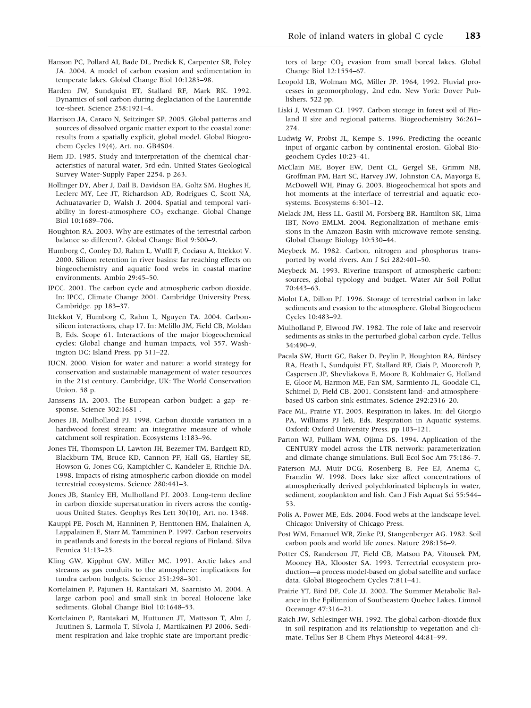- <span id="page-12-0"></span>Hanson PC, Pollard AI, Bade DL, Predick K, Carpenter SR, Foley JA. 2004. A model of carbon evasion and sedimentation in temperate lakes. Global Change Biol 10:1285–98.
- Harden JW, Sundquist ET, Stallard RF, Mark RK. 1992. Dynamics of soil carbon during deglaciation of the Laurentide ice-sheet. Science 258:1921–4.
- Harrison JA, Caraco N, Seitzinger SP. 2005. Global patterns and sources of dissolved organic matter export to the coastal zone: results from a spatially explicit, global model. Global Biogeochem Cycles 19(4), Art. no. GB4S04.
- Hem JD. 1985. Study and interpretation of the chemical characteristics of natural water, 3rd edn. United States Geological Survey Water-Supply Paper 2254. p 263.
- Hollinger DY, Aber J, Dail B, Davidson EA, Goltz SM, Hughes H, Leclerc MY, Lee JT, Richardson AD, Rodrigues C, Scott NA, Achuatavarier D, Walsh J. 2004. Spatial and temporal variability in forest-atmosphere  $CO<sub>2</sub>$  exchange. Global Change Biol 10:1689–706.
- Houghton RA. 2003. Why are estimates of the terrestrial carbon balance so different?. Global Change Biol 9:500–9.
- Humborg C, Conley DJ, Rahm L, Wulff F, Cociasu A, Ittekkot V. 2000. Silicon retention in river basins: far reaching effects on biogeochemistry and aquatic food webs in coastal marine environments. Ambio 29:45–50.
- IPCC. 2001. The carbon cycle and atmospheric carbon dioxide. In: IPCC, Climate Change 2001. Cambridge University Press, Cambridge. pp 183–37.
- Ittekkot V, Humborg C, Rahm L, Nguyen TA. 2004. Carbonsilicon interactions, chap 17. In: Melillo JM, Field CB, Moldan B, Eds. Scope 61. Interactions of the major biogeochemical cycles: Global change and human impacts, vol 357. Washington DC: Island Press. pp 311–22.
- IUCN. 2000. Vision for water and nature: a world strategy for conservation and sustainable management of water resources in the 21st century. Cambridge, UK: The World Conservation Union. 58 p.
- Janssens IA. 2003. The European carbon budget: a gap—response. Science 302:1681 .
- Jones JB, Mulholland PJ. 1998. Carbon dioxide variation in a hardwood forest stream: an integrative measure of whole catchment soil respiration. Ecosystems 1:183–96.
- Jones TH, Thomspon LJ, Lawton JH, Bezemer TM, Bardgett RD, Blackburn TM, Bruce KD, Cannon PF, Hall GS, Hartley SE, Howson G, Jones CG, Kampichler C, Kandeler E, Ritchie DA. 1998. Impacts of rising atmospheric carbon dioxide on model terrestrial ecosystems. Science 280:441–3.
- Jones JB, Stanley EH, Mulholland PJ. 2003. Long-term decline in carbon dioxide supersaturation in rivers across the contiguous United States. Geophys Res Lett 30(10), Art. no. 1348.
- Kauppi PE, Posch M, Hanninen P, Henttonen HM, Ihalainen A, Lappalainen E, Starr M, Tamminen P. 1997. Carbon reservoirs in peatlands and forests in the boreal regions of Finland. Silva Fennica 31:13–25.
- Kling GW, Kipphut GW, Miller MC. 1991. Arctic lakes and streams as gas conduits to the atmosphere: implications for tundra carbon budgets. Science 251:298–301.
- Kortelainen P, Pajunen H, Rantakari M, Saarnisto M. 2004. A large carbon pool and small sink in boreal Holocene lake sediments. Global Change Biol 10:1648–53.
- Kortelainen P, Rantakari M, Huttunen JT, Mattsson T, Alm J, Juutinen S, Larmola T, Silvola J, Martikainen PJ 2006. Sediment respiration and lake trophic state are important predic-

tors of large  $CO<sub>2</sub>$  evasion from small boreal lakes. Global Change Biol 12:1554–67.

- Leopold LB, Wolman MG, Miller JP. 1964, 1992. Fluvial processes in geomorphology, 2nd edn. New York: Dover Publishers. 522 pp.
- Liski J, Westman CJ. 1997. Carbon storage in forest soil of Finland II size and regional patterns. Biogeochemistry 36:261– 274.
- Ludwig W, Probst JL, Kempe S. 1996. Predicting the oceanic input of organic carbon by continental erosion. Global Biogeochem Cycles 10:23–41.
- McClain ME, Boyer EW, Dent CL, Gergel SE, Grimm NB, Groffman PM, Hart SC, Harvey JW, Johnston CA, Mayorga E, McDowell WH, Pinay G. 2003. Biogeochemical hot spots and hot moments at the interface of terrestrial and aquatic ecosystems. Ecosystems 6:301–12.
- Melack JM, Hess LL, Gastil M, Forsberg BR, Hamilton SK, Lima IBT, Novo EMLM. 2004. Regionalization of methane emissions in the Amazon Basin with microwave remote sensing. Global Change Biology 10:530–44.
- Meybeck M. 1982. Carbon, nitrogen and phosphorus transported by world rivers. Am J Sci 282:401–50.
- Meybeck M. 1993. Riverine transport of atmospheric carbon: sources, global typology and budget. Water Air Soil Pollut 70:443–63.
- Molot LA, Dillon PJ. 1996. Storage of terrestrial carbon in lake sediments and evasion to the atmosphere. Global Biogeochem Cycles 10:483–92.
- Mulholland P, Elwood JW. 1982. The role of lake and reservoir sediments as sinks in the perturbed global carbon cycle. Tellus 34:490–9.
- Pacala SW, Hurtt GC, Baker D, Peylin P, Houghton RA, Birdsey RA, Heath L, Sundquist ET, Stallard RF, Ciais P, Moorcroft P, Caspersen JP, Shevliakova E, Moore B, Kohlmaier G, Holland E, Gloor M, Harmon ME, Fan SM, Sarmiento JL, Goodale CL, Schimel D, Field CB. 2001. Consistent land- and atmospherebased US carbon sink estimates. Science 292:2316–20.
- Pace ML, Prairie YT. 2005. Respiration in lakes. In: del Giorgio PA, Williams PJ leB, Eds. Respiration in Aquatic systems. Oxford: Oxford University Press. pp 103–121.
- Parton WJ, Pulliam WM, Ojima DS. 1994. Application of the CENTURY model across the LTR network: parameterization and climate change simulations. Bull Ecol Soc Am 75:186–7.
- Paterson MJ, Muir DCG, Rosenberg B, Fee EJ, Anema C, Franzlin W. 1998. Does lake size affect concentrations of atmospherically derived polychlorinated biphenyls in water, sediment, zooplankton and fish. Can J Fish Aquat Sci 55:544– 53.
- Polis A, Power ME, Eds. 2004. Food webs at the landscape level. Chicago: University of Chicago Press.
- Post WM, Emanuel WR, Zinke PJ, Stangenberger AG. 1982. Soil carbon pools and world life zones. Nature 298:156–9.
- Potter CS, Randerson JT, Field CB, Matson PA, Vitousek PM, Mooney HA, Klooster SA. 1993. Terrectrial ecosystem production—a process model-based on global satellite and surface data. Global Biogeochem Cycles 7:811–41.
- Prairie YT, Bird DF, Cole JJ. 2002. The Summer Metabolic Balance in the Epilimnion of Southeastern Quebec Lakes. Limnol Oceanogr 47:316–21.
- Raich JW, Schlesinger WH. 1992. The global carbon-dioxide flux in soil respiration and its relationship to vegetation and climate. Tellus Ser B Chem Phys Meteorol 44:81–99.